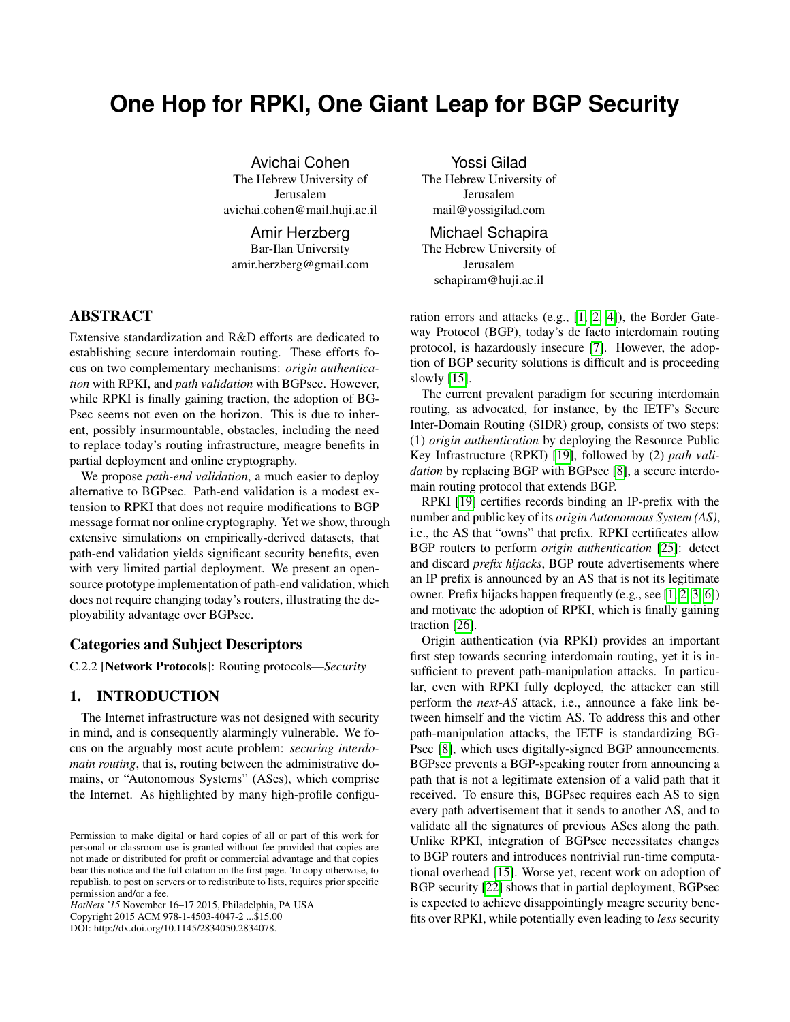# **One Hop for RPKI, One Giant Leap for BGP Security**

Avichai Cohen The Hebrew University of Jerusalem avichai.cohen@mail.huji.ac.il

Amir Herzberg Bar-Ilan University amir.herzberg@gmail.com

## ABSTRACT

Extensive standardization and R&D efforts are dedicated to establishing secure interdomain routing. These efforts focus on two complementary mechanisms: *origin authentication* with RPKI, and *path validation* with BGPsec. However, while RPKI is finally gaining traction, the adoption of BG-Psec seems not even on the horizon. This is due to inherent, possibly insurmountable, obstacles, including the need to replace today's routing infrastructure, meagre benefits in partial deployment and online cryptography.

We propose *path-end validation*, a much easier to deploy alternative to BGPsec. Path-end validation is a modest extension to RPKI that does not require modifications to BGP message format nor online cryptography. Yet we show, through extensive simulations on empirically-derived datasets, that path-end validation yields significant security benefits, even with very limited partial deployment. We present an opensource prototype implementation of path-end validation, which does not require changing today's routers, illustrating the deployability advantage over BGPsec.

# Categories and Subject Descriptors

C.2.2 [Network Protocols]: Routing protocols—*Security*

# 1. INTRODUCTION

The Internet infrastructure was not designed with security in mind, and is consequently alarmingly vulnerable. We focus on the arguably most acute problem: *securing interdomain routing*, that is, routing between the administrative domains, or "Autonomous Systems" (ASes), which comprise the Internet. As highlighted by many high-profile configu-

*HotNets '15* November 16–17 2015, Philadelphia, PA USA Copyright 2015 ACM 978-1-4503-4047-2 ...\$15.00 DOI: http://dx.doi.org/10.1145/2834050.2834078.

Yossi Gilad The Hebrew University of Jerusalem mail@yossigilad.com

Michael Schapira The Hebrew University of Jerusalem schapiram@huji.ac.il

ration errors and attacks (e.g., [\[1,](#page-6-0) [2,](#page-6-1) [4\]](#page-6-2)), the Border Gateway Protocol (BGP), today's de facto interdomain routing protocol, is hazardously insecure [\[7\]](#page-6-3). However, the adoption of BGP security solutions is difficult and is proceeding slowly [\[15\]](#page-6-4).

The current prevalent paradigm for securing interdomain routing, as advocated, for instance, by the IETF's Secure Inter-Domain Routing (SIDR) group, consists of two steps: (1) *origin authentication* by deploying the Resource Public Key Infrastructure (RPKI) [\[19\]](#page-6-5), followed by (2) *path validation* by replacing BGP with BGPsec [\[8\]](#page-6-6), a secure interdomain routing protocol that extends BGP.

RPKI [\[19\]](#page-6-5) certifies records binding an IP-prefix with the number and public key of its *origin Autonomous System (AS)*, i.e., the AS that "owns" that prefix. RPKI certificates allow BGP routers to perform *origin authentication* [\[25\]](#page-6-7): detect and discard *prefix hijacks*, BGP route advertisements where an IP prefix is announced by an AS that is not its legitimate owner. Prefix hijacks happen frequently (e.g., see [\[1,](#page-6-0) [2,](#page-6-1) [3,](#page-6-8) [6\]](#page-6-9)) and motivate the adoption of RPKI, which is finally gaining traction [\[26\]](#page-6-10).

Origin authentication (via RPKI) provides an important first step towards securing interdomain routing, yet it is insufficient to prevent path-manipulation attacks. In particular, even with RPKI fully deployed, the attacker can still perform the *next-AS* attack, i.e., announce a fake link between himself and the victim AS. To address this and other path-manipulation attacks, the IETF is standardizing BG-Psec [\[8\]](#page-6-6), which uses digitally-signed BGP announcements. BGPsec prevents a BGP-speaking router from announcing a path that is not a legitimate extension of a valid path that it received. To ensure this, BGPsec requires each AS to sign every path advertisement that it sends to another AS, and to validate all the signatures of previous ASes along the path. Unlike RPKI, integration of BGPsec necessitates changes to BGP routers and introduces nontrivial run-time computational overhead [\[15\]](#page-6-4). Worse yet, recent work on adoption of BGP security [\[22\]](#page-6-11) shows that in partial deployment, BGPsec is expected to achieve disappointingly meagre security benefits over RPKI, while potentially even leading to *less* security

Permission to make digital or hard copies of all or part of this work for personal or classroom use is granted without fee provided that copies are not made or distributed for profit or commercial advantage and that copies bear this notice and the full citation on the first page. To copy otherwise, to republish, to post on servers or to redistribute to lists, requires prior specific permission and/or a fee.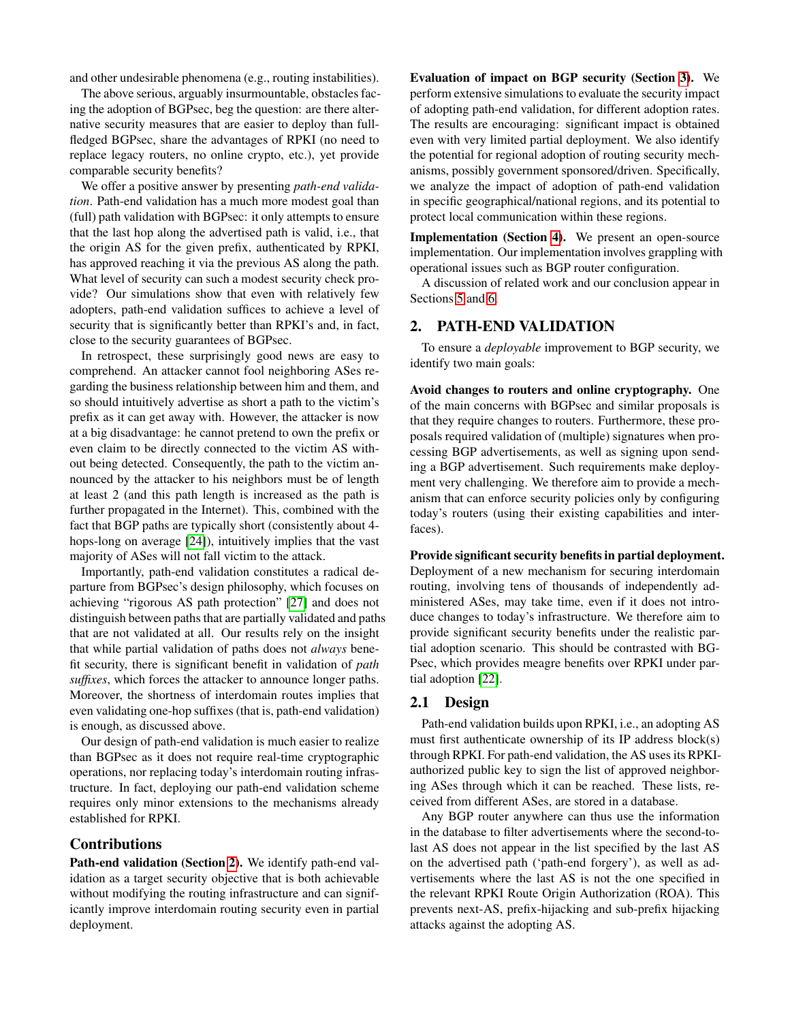and other undesirable phenomena (e.g., routing instabilities).

The above serious, arguably insurmountable, obstacles facing the adoption of BGPsec, beg the question: are there alternative security measures that are easier to deploy than fullfledged BGPsec, share the advantages of RPKI (no need to replace legacy routers, no online crypto, etc.), yet provide comparable security benefits?

We offer a positive answer by presenting *path-end validation*. Path-end validation has a much more modest goal than (full) path validation with BGPsec: it only attempts to ensure that the last hop along the advertised path is valid, i.e., that the origin AS for the given prefix, authenticated by RPKI, has approved reaching it via the previous AS along the path. What level of security can such a modest security check provide? Our simulations show that even with relatively few adopters, path-end validation suffices to achieve a level of security that is significantly better than RPKI's and, in fact, close to the security guarantees of BGPsec.

In retrospect, these surprisingly good news are easy to comprehend. An attacker cannot fool neighboring ASes regarding the business relationship between him and them, and so should intuitively advertise as short a path to the victim's prefix as it can get away with. However, the attacker is now at a big disadvantage: he cannot pretend to own the prefix or even claim to be directly connected to the victim AS without being detected. Consequently, the path to the victim announced by the attacker to his neighbors must be of length at least 2 (and this path length is increased as the path is further propagated in the Internet). This, combined with the fact that BGP paths are typically short (consistently about 4 hops-long on average [\[24\]](#page-6-12)), intuitively implies that the vast majority of ASes will not fall victim to the attack.

Importantly, path-end validation constitutes a radical departure from BGPsec's design philosophy, which focuses on achieving "rigorous AS path protection" [\[27\]](#page-6-13) and does not distinguish between paths that are partially validated and paths that are not validated at all. Our results rely on the insight that while partial validation of paths does not *always* benefit security, there is significant benefit in validation of *path suffixes*, which forces the attacker to announce longer paths. Moreover, the shortness of interdomain routes implies that even validating one-hop suffixes (that is, path-end validation) is enough, as discussed above.

Our design of path-end validation is much easier to realize than BGPsec as it does not require real-time cryptographic operations, nor replacing today's interdomain routing infrastructure. In fact, deploying our path-end validation scheme requires only minor extensions to the mechanisms already established for RPKI.

# Contributions

Path-end validation (Section [2\)](#page-1-0). We identify path-end validation as a target security objective that is both achievable without modifying the routing infrastructure and can significantly improve interdomain routing security even in partial deployment.

Evaluation of impact on BGP security (Section [3\)](#page-2-0). We perform extensive simulations to evaluate the security impact of adopting path-end validation, for different adoption rates. The results are encouraging: significant impact is obtained even with very limited partial deployment. We also identify the potential for regional adoption of routing security mechanisms, possibly government sponsored/driven. Specifically, we analyze the impact of adoption of path-end validation in specific geographical/national regions, and its potential to protect local communication within these regions.

Implementation (Section [4\)](#page-4-0). We present an open-source implementation. Our implementation involves grappling with operational issues such as BGP router configuration.

A discussion of related work and our conclusion appear in Sections [5](#page-5-0) and [6.](#page-5-1)

#### <span id="page-1-0"></span>2. PATH-END VALIDATION

To ensure a *deployable* improvement to BGP security, we identify two main goals:

Avoid changes to routers and online cryptography. One of the main concerns with BGPsec and similar proposals is that they require changes to routers. Furthermore, these proposals required validation of (multiple) signatures when processing BGP advertisements, as well as signing upon sending a BGP advertisement. Such requirements make deployment very challenging. We therefore aim to provide a mechanism that can enforce security policies only by configuring today's routers (using their existing capabilities and interfaces).

Provide significant security benefits in partial deployment. Deployment of a new mechanism for securing interdomain routing, involving tens of thousands of independently administered ASes, may take time, even if it does not introduce changes to today's infrastructure. We therefore aim to provide significant security benefits under the realistic partial adoption scenario. This should be contrasted with BG-Psec, which provides meagre benefits over RPKI under partial adoption [\[22\]](#page-6-11).

#### 2.1 Design

Path-end validation builds upon RPKI, i.e., an adopting AS must first authenticate ownership of its IP address block(s) through RPKI. For path-end validation, the AS uses its RPKIauthorized public key to sign the list of approved neighboring ASes through which it can be reached. These lists, received from different ASes, are stored in a database.

Any BGP router anywhere can thus use the information in the database to filter advertisements where the second-tolast AS does not appear in the list specified by the last AS on the advertised path ('path-end forgery'), as well as advertisements where the last AS is not the one specified in the relevant RPKI Route Origin Authorization (ROA). This prevents next-AS, prefix-hijacking and sub-prefix hijacking attacks against the adopting AS.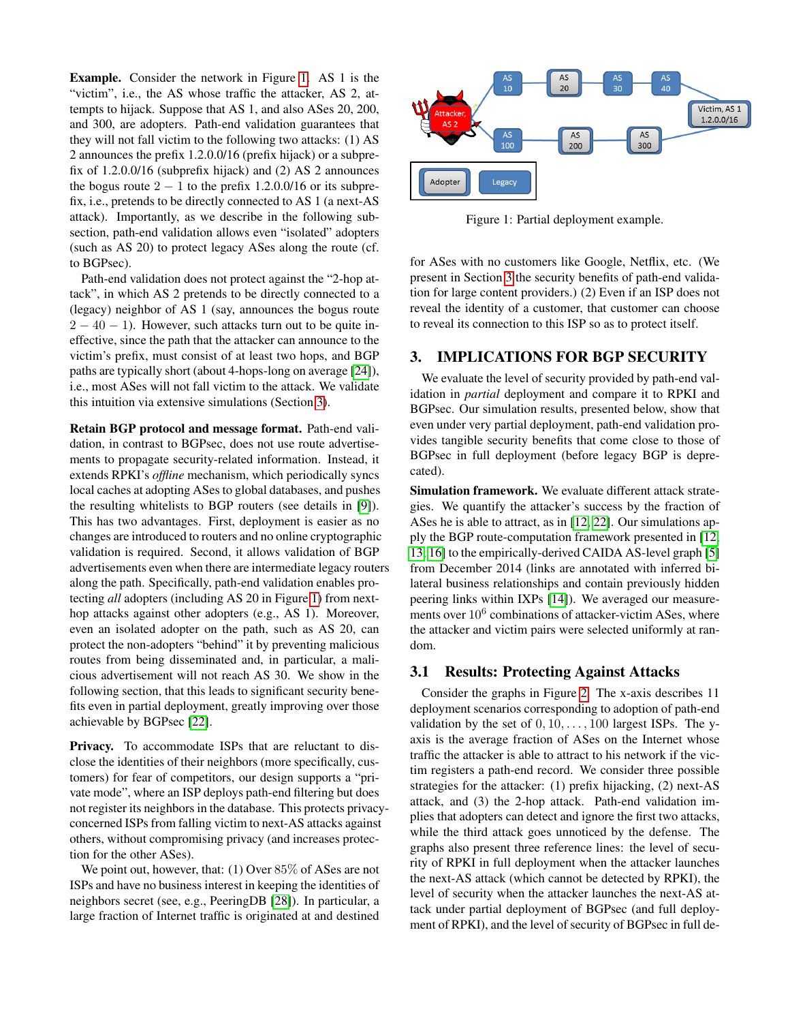Example. Consider the network in Figure [1.](#page-2-1) AS 1 is the "victim", i.e., the AS whose traffic the attacker, AS 2, attempts to hijack. Suppose that AS 1, and also ASes 20, 200, and 300, are adopters. Path-end validation guarantees that they will not fall victim to the following two attacks: (1) AS 2 announces the prefix 1.2.0.0/16 (prefix hijack) or a subprefix of 1.2.0.0/16 (subprefix hijack) and (2) AS 2 announces the bogus route  $2 - 1$  to the prefix 1.2.0.0/16 or its subprefix, i.e., pretends to be directly connected to AS 1 (a next-AS attack). Importantly, as we describe in the following subsection, path-end validation allows even "isolated" adopters (such as AS 20) to protect legacy ASes along the route (cf. to BGPsec).

Path-end validation does not protect against the "2-hop attack", in which AS 2 pretends to be directly connected to a (legacy) neighbor of AS 1 (say, announces the bogus route  $2 - 40 - 1$ ). However, such attacks turn out to be quite ineffective, since the path that the attacker can announce to the victim's prefix, must consist of at least two hops, and BGP paths are typically short (about 4-hops-long on average [\[24\]](#page-6-12)), i.e., most ASes will not fall victim to the attack. We validate this intuition via extensive simulations (Section [3\)](#page-2-0).

Retain BGP protocol and message format. Path-end validation, in contrast to BGPsec, does not use route advertisements to propagate security-related information. Instead, it extends RPKI's *offline* mechanism, which periodically syncs local caches at adopting ASes to global databases, and pushes the resulting whitelists to BGP routers (see details in [\[9\]](#page-6-14)). This has two advantages. First, deployment is easier as no changes are introduced to routers and no online cryptographic validation is required. Second, it allows validation of BGP advertisements even when there are intermediate legacy routers along the path. Specifically, path-end validation enables protecting *all* adopters (including AS 20 in Figure [1\)](#page-2-1) from nexthop attacks against other adopters (e.g., AS 1). Moreover, even an isolated adopter on the path, such as AS 20, can protect the non-adopters "behind" it by preventing malicious routes from being disseminated and, in particular, a malicious advertisement will not reach AS 30. We show in the following section, that this leads to significant security benefits even in partial deployment, greatly improving over those achievable by BGPsec [\[22\]](#page-6-11).

Privacy. To accommodate ISPs that are reluctant to disclose the identities of their neighbors (more specifically, customers) for fear of competitors, our design supports a "private mode", where an ISP deploys path-end filtering but does not register its neighbors in the database. This protects privacyconcerned ISPs from falling victim to next-AS attacks against others, without compromising privacy (and increases protection for the other ASes).

We point out, however, that: (1) Over 85% of ASes are not ISPs and have no business interest in keeping the identities of neighbors secret (see, e.g., PeeringDB [\[28\]](#page-6-15)). In particular, a large fraction of Internet traffic is originated at and destined

<span id="page-2-1"></span>

Figure 1: Partial deployment example.

for ASes with no customers like Google, Netflix, etc. (We present in Section [3](#page-2-0) the security benefits of path-end validation for large content providers.) (2) Even if an ISP does not reveal the identity of a customer, that customer can choose to reveal its connection to this ISP so as to protect itself.

## <span id="page-2-0"></span>3. IMPLICATIONS FOR BGP SECURITY

We evaluate the level of security provided by path-end validation in *partial* deployment and compare it to RPKI and BGPsec. Our simulation results, presented below, show that even under very partial deployment, path-end validation provides tangible security benefits that come close to those of BGPsec in full deployment (before legacy BGP is deprecated).

Simulation framework. We evaluate different attack strategies. We quantify the attacker's success by the fraction of ASes he is able to attract, as in [\[12,](#page-6-16) [22\]](#page-6-11). Our simulations apply the BGP route-computation framework presented in [\[12,](#page-6-16) [13,](#page-6-17) [16\]](#page-6-18) to the empirically-derived CAIDA AS-level graph [\[5\]](#page-6-19) from December 2014 (links are annotated with inferred bilateral business relationships and contain previously hidden peering links within IXPs [\[14\]](#page-6-20)). We averaged our measurements over 10<sup>6</sup> combinations of attacker-victim ASes, where the attacker and victim pairs were selected uniformly at random.

#### 3.1 Results: Protecting Against Attacks

Consider the graphs in Figure [2.](#page-3-0) The x-axis describes 11 deployment scenarios corresponding to adoption of path-end validation by the set of  $0, 10, \ldots, 100$  largest ISPs. The yaxis is the average fraction of ASes on the Internet whose traffic the attacker is able to attract to his network if the victim registers a path-end record. We consider three possible strategies for the attacker: (1) prefix hijacking, (2) next-AS attack, and (3) the 2-hop attack. Path-end validation implies that adopters can detect and ignore the first two attacks, while the third attack goes unnoticed by the defense. The graphs also present three reference lines: the level of security of RPKI in full deployment when the attacker launches the next-AS attack (which cannot be detected by RPKI), the level of security when the attacker launches the next-AS attack under partial deployment of BGPsec (and full deployment of RPKI), and the level of security of BGPsec in full de-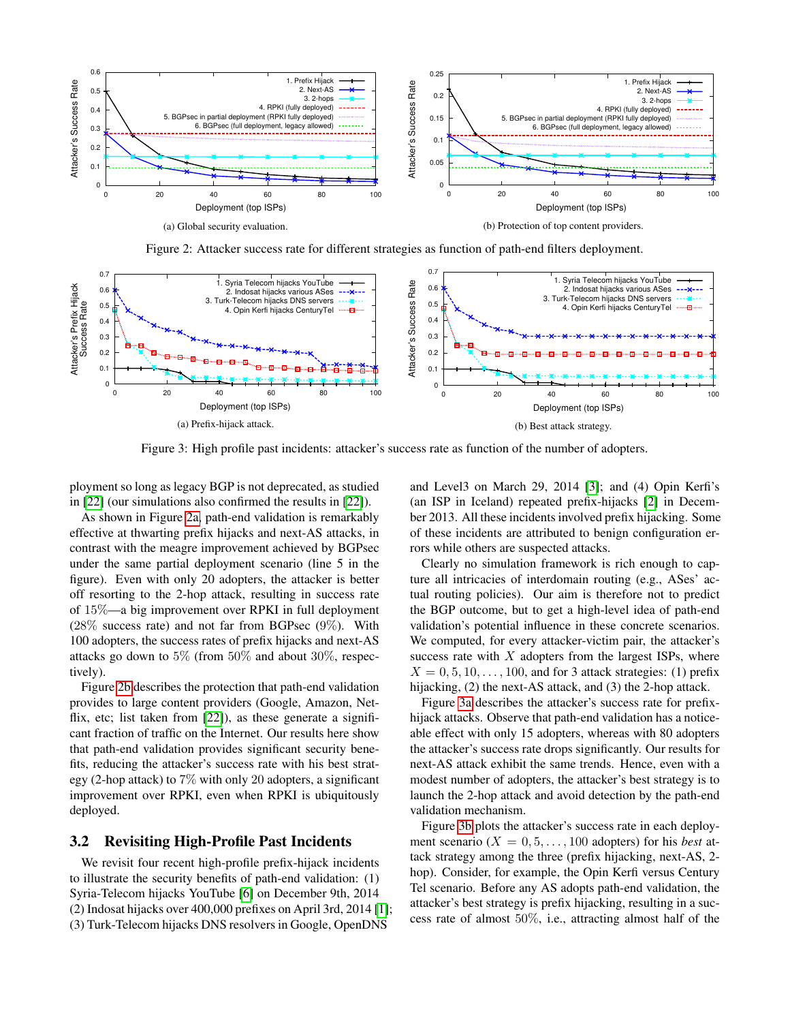<span id="page-3-0"></span>

Figure 2: Attacker success rate for different strategies as function of path-end filters deployment.

<span id="page-3-1"></span>

Figure 3: High profile past incidents: attacker's success rate as function of the number of adopters.

ployment so long as legacy BGP is not deprecated, as studied in [\[22\]](#page-6-11) (our simulations also confirmed the results in [\[22\]](#page-6-11)).

As shown in Figure [2a,](#page-3-0) path-end validation is remarkably effective at thwarting prefix hijacks and next-AS attacks, in contrast with the meagre improvement achieved by BGPsec under the same partial deployment scenario (line 5 in the figure). Even with only 20 adopters, the attacker is better off resorting to the 2-hop attack, resulting in success rate of 15%—a big improvement over RPKI in full deployment  $(28\%$  success rate) and not far from BGPsec  $(9\%)$ . With 100 adopters, the success rates of prefix hijacks and next-AS attacks go down to 5% (from 50% and about 30%, respectively).

Figure [2b](#page-3-0) describes the protection that path-end validation provides to large content providers (Google, Amazon, Net-flix, etc; list taken from [\[22\]](#page-6-11)), as these generate a significant fraction of traffic on the Internet. Our results here show that path-end validation provides significant security benefits, reducing the attacker's success rate with his best strategy (2-hop attack) to  $7\%$  with only 20 adopters, a significant improvement over RPKI, even when RPKI is ubiquitously deployed.

#### 3.2 Revisiting High-Profile Past Incidents

We revisit four recent high-profile prefix-hijack incidents to illustrate the security benefits of path-end validation: (1) Syria-Telecom hijacks YouTube [\[6\]](#page-6-9) on December 9th, 2014 (2) Indosat hijacks over 400,000 prefixes on April 3rd, 2014 [\[1\]](#page-6-0); (3) Turk-Telecom hijacks DNS resolvers in Google, OpenDNS

and Level3 on March 29, 2014 [\[3\]](#page-6-8); and (4) Opin Kerfi's (an ISP in Iceland) repeated prefix-hijacks [\[2\]](#page-6-1) in December 2013. All these incidents involved prefix hijacking. Some of these incidents are attributed to benign configuration errors while others are suspected attacks.

Clearly no simulation framework is rich enough to capture all intricacies of interdomain routing (e.g., ASes' actual routing policies). Our aim is therefore not to predict the BGP outcome, but to get a high-level idea of path-end validation's potential influence in these concrete scenarios. We computed, for every attacker-victim pair, the attacker's success rate with  $X$  adopters from the largest ISPs, where  $X = 0, 5, 10, \ldots, 100$ , and for 3 attack strategies: (1) prefix hijacking, (2) the next-AS attack, and (3) the 2-hop attack.

Figure [3a](#page-3-1) describes the attacker's success rate for prefixhijack attacks. Observe that path-end validation has a noticeable effect with only 15 adopters, whereas with 80 adopters the attacker's success rate drops significantly. Our results for next-AS attack exhibit the same trends. Hence, even with a modest number of adopters, the attacker's best strategy is to launch the 2-hop attack and avoid detection by the path-end validation mechanism.

Figure [3b](#page-3-1) plots the attacker's success rate in each deployment scenario ( $X = 0, 5, \ldots, 100$  adopters) for his *best* attack strategy among the three (prefix hijacking, next-AS, 2 hop). Consider, for example, the Opin Kerfi versus Century Tel scenario. Before any AS adopts path-end validation, the attacker's best strategy is prefix hijacking, resulting in a success rate of almost 50%, i.e., attracting almost half of the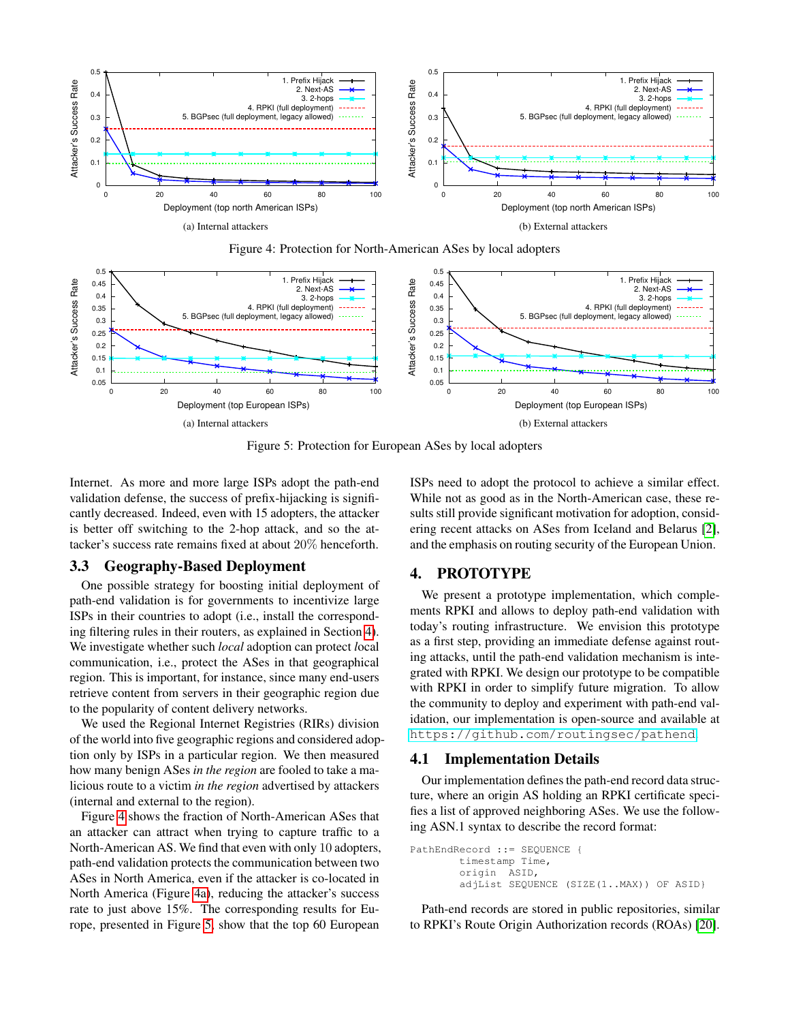<span id="page-4-1"></span>



<span id="page-4-2"></span>

Figure 5: Protection for European ASes by local adopters

Internet. As more and more large ISPs adopt the path-end validation defense, the success of prefix-hijacking is significantly decreased. Indeed, even with 15 adopters, the attacker is better off switching to the 2-hop attack, and so the attacker's success rate remains fixed at about 20% henceforth.

#### 3.3 Geography-Based Deployment

One possible strategy for boosting initial deployment of path-end validation is for governments to incentivize large ISPs in their countries to adopt (i.e., install the corresponding filtering rules in their routers, as explained in Section [4\)](#page-4-0). We investigate whether such *local* adoption can protect *l*ocal communication, i.e., protect the ASes in that geographical region. This is important, for instance, since many end-users retrieve content from servers in their geographic region due to the popularity of content delivery networks.

We used the Regional Internet Registries (RIRs) division of the world into five geographic regions and considered adoption only by ISPs in a particular region. We then measured how many benign ASes *in the region* are fooled to take a malicious route to a victim *in the region* advertised by attackers (internal and external to the region).

Figure [4](#page-4-1) shows the fraction of North-American ASes that an attacker can attract when trying to capture traffic to a North-American AS. We find that even with only 10 adopters, path-end validation protects the communication between two ASes in North America, even if the attacker is co-located in North America (Figure [4a\)](#page-4-1), reducing the attacker's success rate to just above 15%. The corresponding results for Europe, presented in Figure [5,](#page-4-2) show that the top 60 European

ISPs need to adopt the protocol to achieve a similar effect. While not as good as in the North-American case, these results still provide significant motivation for adoption, considering recent attacks on ASes from Iceland and Belarus [\[2\]](#page-6-1), and the emphasis on routing security of the European Union.

# <span id="page-4-0"></span>4. PROTOTYPE

We present a prototype implementation, which complements RPKI and allows to deploy path-end validation with today's routing infrastructure. We envision this prototype as a first step, providing an immediate defense against routing attacks, until the path-end validation mechanism is integrated with RPKI. We design our prototype to be compatible with RPKI in order to simplify future migration. To allow the community to deploy and experiment with path-end validation, our implementation is open-source and available at <https://github.com/routingsec/pathend>.

#### 4.1 Implementation Details

Our implementation defines the path-end record data structure, where an origin AS holding an RPKI certificate specifies a list of approved neighboring ASes. We use the following ASN.1 syntax to describe the record format:

```
PathEndRecord ::= SEQUENCE {
        timestamp Time,
        origin ASID,
        adjList SEQUENCE (SIZE(1..MAX)) OF ASID}
```
Path-end records are stored in public repositories, similar to RPKI's Route Origin Authorization records (ROAs) [\[20\]](#page-6-21).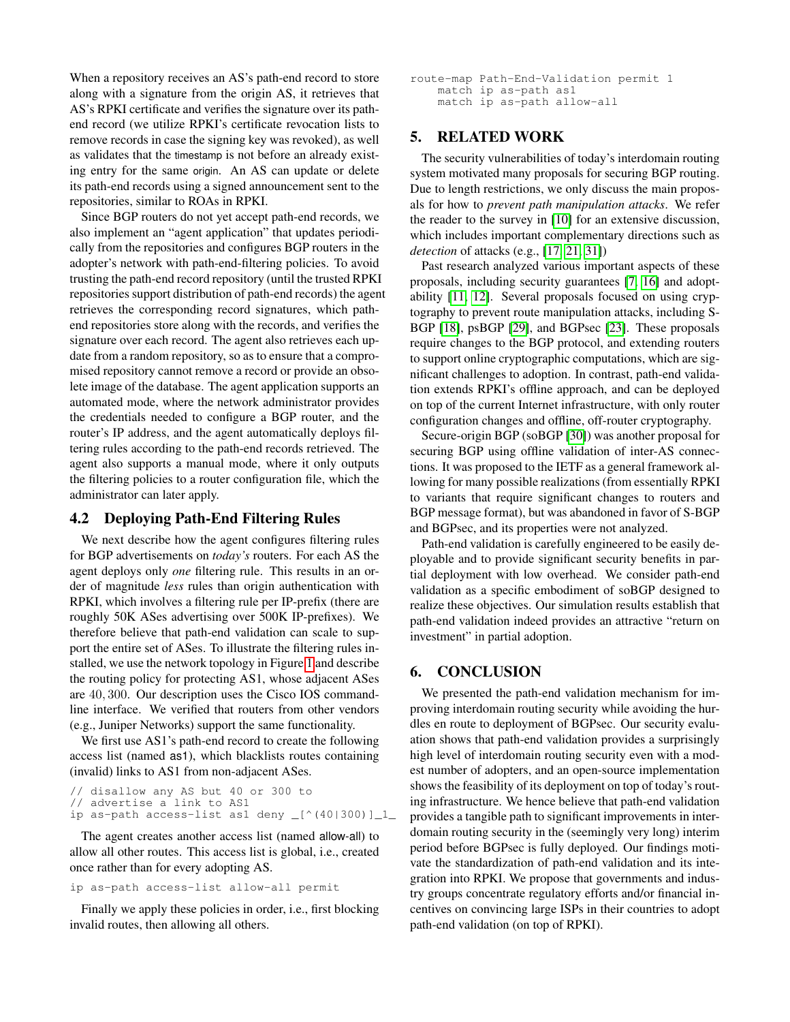When a repository receives an AS's path-end record to store along with a signature from the origin AS, it retrieves that AS's RPKI certificate and verifies the signature over its pathend record (we utilize RPKI's certificate revocation lists to remove records in case the signing key was revoked), as well as validates that the timestamp is not before an already existing entry for the same origin. An AS can update or delete its path-end records using a signed announcement sent to the repositories, similar to ROAs in RPKI.

Since BGP routers do not yet accept path-end records, we also implement an "agent application" that updates periodically from the repositories and configures BGP routers in the adopter's network with path-end-filtering policies. To avoid trusting the path-end record repository (until the trusted RPKI repositories support distribution of path-end records) the agent retrieves the corresponding record signatures, which pathend repositories store along with the records, and verifies the signature over each record. The agent also retrieves each update from a random repository, so as to ensure that a compromised repository cannot remove a record or provide an obsolete image of the database. The agent application supports an automated mode, where the network administrator provides the credentials needed to configure a BGP router, and the router's IP address, and the agent automatically deploys filtering rules according to the path-end records retrieved. The agent also supports a manual mode, where it only outputs the filtering policies to a router configuration file, which the administrator can later apply.

## 4.2 Deploying Path-End Filtering Rules

We next describe how the agent configures filtering rules for BGP advertisements on *today's* routers. For each AS the agent deploys only *one* filtering rule. This results in an order of magnitude *less* rules than origin authentication with RPKI, which involves a filtering rule per IP-prefix (there are roughly 50K ASes advertising over 500K IP-prefixes). We therefore believe that path-end validation can scale to support the entire set of ASes. To illustrate the filtering rules installed, we use the network topology in Figure [1](#page-2-1) and describe the routing policy for protecting AS1, whose adjacent ASes are 40, 300. Our description uses the Cisco IOS commandline interface. We verified that routers from other vendors (e.g., Juniper Networks) support the same functionality.

We first use AS1's path-end record to create the following access list (named as1), which blacklists routes containing (invalid) links to AS1 from non-adjacent ASes.

```
// disallow any AS but 40 or 300 to
  advertise a link to AS1
ip as-path access-list as1 deny ( ^(40|300)]1_
```
The agent creates another access list (named allow-all) to allow all other routes. This access list is global, i.e., created once rather than for every adopting AS.

```
ip as-path access-list allow-all permit
```
Finally we apply these policies in order, i.e., first blocking invalid routes, then allowing all others.

```
route-map Path-End-Validation permit 1
   match ip as-path as1
   match ip as-path allow-all
```
# <span id="page-5-0"></span>5. RELATED WORK

The security vulnerabilities of today's interdomain routing system motivated many proposals for securing BGP routing. Due to length restrictions, we only discuss the main proposals for how to *prevent path manipulation attacks*. We refer the reader to the survey in [\[10\]](#page-6-22) for an extensive discussion, which includes important complementary directions such as *detection* of attacks (e.g., [\[17,](#page-6-23) [21,](#page-6-24) [31\]](#page-6-25))

Past research analyzed various important aspects of these proposals, including security guarantees [\[7,](#page-6-3) [16\]](#page-6-18) and adoptability [\[11,](#page-6-26) [12\]](#page-6-16). Several proposals focused on using cryptography to prevent route manipulation attacks, including S-BGP [\[18\]](#page-6-27), psBGP [\[29\]](#page-6-28), and BGPsec [\[23\]](#page-6-29). These proposals require changes to the BGP protocol, and extending routers to support online cryptographic computations, which are significant challenges to adoption. In contrast, path-end validation extends RPKI's offline approach, and can be deployed on top of the current Internet infrastructure, with only router configuration changes and offline, off-router cryptography.

Secure-origin BGP (soBGP [\[30\]](#page-6-30)) was another proposal for securing BGP using offline validation of inter-AS connections. It was proposed to the IETF as a general framework allowing for many possible realizations (from essentially RPKI to variants that require significant changes to routers and BGP message format), but was abandoned in favor of S-BGP and BGPsec, and its properties were not analyzed.

Path-end validation is carefully engineered to be easily deployable and to provide significant security benefits in partial deployment with low overhead. We consider path-end validation as a specific embodiment of soBGP designed to realize these objectives. Our simulation results establish that path-end validation indeed provides an attractive "return on investment" in partial adoption.

# <span id="page-5-1"></span>6. CONCLUSION

We presented the path-end validation mechanism for improving interdomain routing security while avoiding the hurdles en route to deployment of BGPsec. Our security evaluation shows that path-end validation provides a surprisingly high level of interdomain routing security even with a modest number of adopters, and an open-source implementation shows the feasibility of its deployment on top of today's routing infrastructure. We hence believe that path-end validation provides a tangible path to significant improvements in interdomain routing security in the (seemingly very long) interim period before BGPsec is fully deployed. Our findings motivate the standardization of path-end validation and its integration into RPKI. We propose that governments and industry groups concentrate regulatory efforts and/or financial incentives on convincing large ISPs in their countries to adopt path-end validation (on top of RPKI).